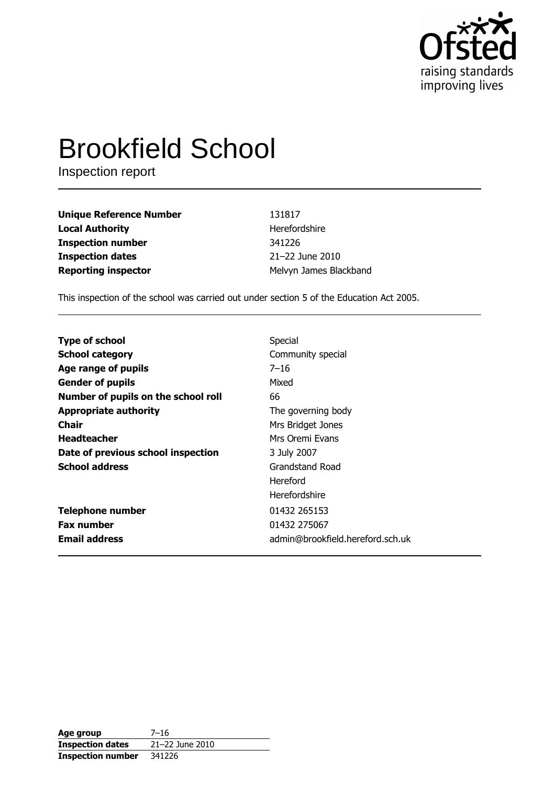

# **Brookfield School**

Inspection report

| <b>Unique Reference Number</b> | 131817                 |
|--------------------------------|------------------------|
| <b>Local Authority</b>         | Herefordshire          |
| <b>Inspection number</b>       | 341226                 |
| <b>Inspection dates</b>        | 21-22 June 2010        |
| <b>Reporting inspector</b>     | Melvyn James Blackband |

This inspection of the school was carried out under section 5 of the Education Act 2005.

| <b>Type of school</b>               | Special                          |
|-------------------------------------|----------------------------------|
| <b>School category</b>              | Community special                |
| Age range of pupils                 | $7 - 16$                         |
| <b>Gender of pupils</b>             | Mixed                            |
| Number of pupils on the school roll | 66                               |
| <b>Appropriate authority</b>        | The governing body               |
| Chair                               | Mrs Bridget Jones                |
| <b>Headteacher</b>                  | Mrs Oremi Evans                  |
| Date of previous school inspection  | 3 July 2007                      |
| <b>School address</b>               | Grandstand Road                  |
|                                     | Hereford                         |
|                                     | Herefordshire                    |
| <b>Telephone number</b>             | 01432 265153                     |
| <b>Fax number</b>                   | 01432 275067                     |
| <b>Email address</b>                | admin@brookfield.hereford.sch.uk |

| Age group                | 7–16            |
|--------------------------|-----------------|
| <b>Inspection dates</b>  | 21-22 June 2010 |
| <b>Inspection number</b> | 341226          |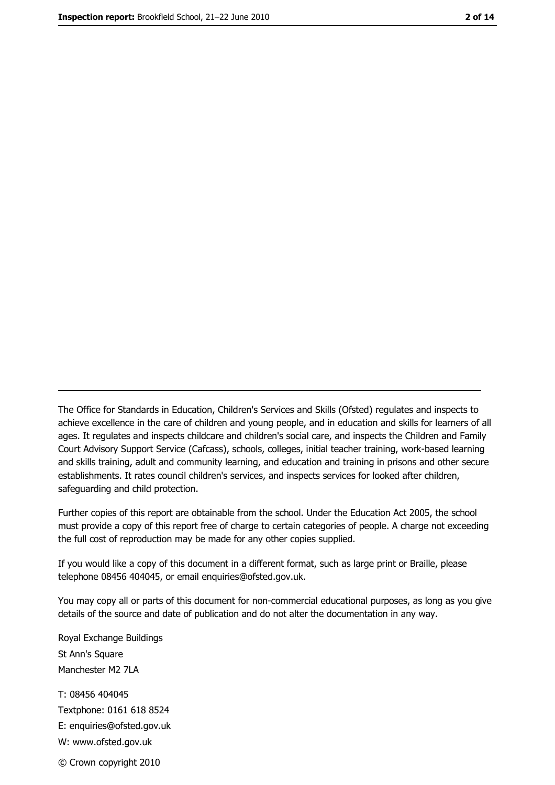The Office for Standards in Education, Children's Services and Skills (Ofsted) regulates and inspects to achieve excellence in the care of children and young people, and in education and skills for learners of all ages. It regulates and inspects childcare and children's social care, and inspects the Children and Family Court Advisory Support Service (Cafcass), schools, colleges, initial teacher training, work-based learning and skills training, adult and community learning, and education and training in prisons and other secure establishments. It rates council children's services, and inspects services for looked after children, safequarding and child protection.

Further copies of this report are obtainable from the school. Under the Education Act 2005, the school must provide a copy of this report free of charge to certain categories of people. A charge not exceeding the full cost of reproduction may be made for any other copies supplied.

If you would like a copy of this document in a different format, such as large print or Braille, please telephone 08456 404045, or email enquiries@ofsted.gov.uk.

You may copy all or parts of this document for non-commercial educational purposes, as long as you give details of the source and date of publication and do not alter the documentation in any way.

Royal Exchange Buildings St Ann's Square Manchester M2 7LA T: 08456 404045 Textphone: 0161 618 8524 E: enquiries@ofsted.gov.uk W: www.ofsted.gov.uk © Crown copyright 2010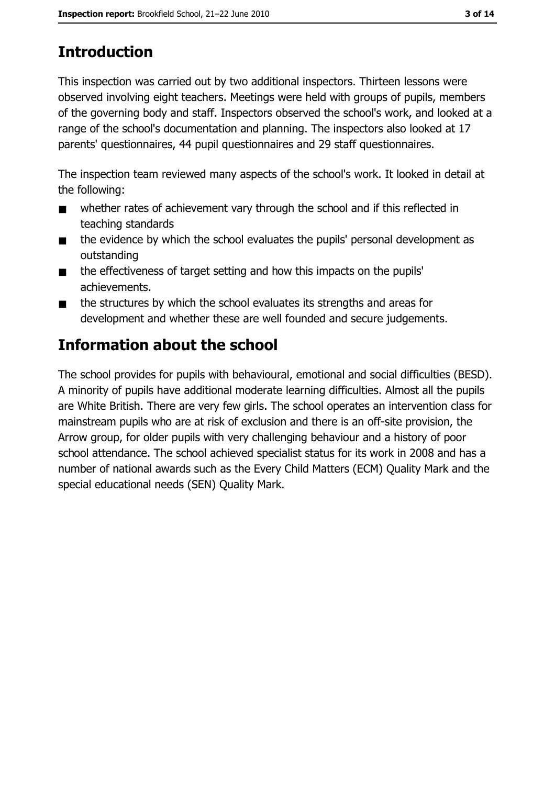# **Introduction**

This inspection was carried out by two additional inspectors. Thirteen lessons were observed involving eight teachers. Meetings were held with groups of pupils, members of the governing body and staff. Inspectors observed the school's work, and looked at a range of the school's documentation and planning. The inspectors also looked at 17 parents' questionnaires, 44 pupil questionnaires and 29 staff questionnaires.

The inspection team reviewed many aspects of the school's work. It looked in detail at the following:

- whether rates of achievement vary through the school and if this reflected in  $\blacksquare$ teaching standards
- the evidence by which the school evaluates the pupils' personal development as  $\blacksquare$ outstanding
- the effectiveness of target setting and how this impacts on the pupils'  $\blacksquare$ achievements.
- the structures by which the school evaluates its strengths and areas for  $\blacksquare$ development and whether these are well founded and secure judgements.

## Information about the school

The school provides for pupils with behavioural, emotional and social difficulties (BESD). A minority of pupils have additional moderate learning difficulties. Almost all the pupils are White British. There are very few girls. The school operates an intervention class for mainstream pupils who are at risk of exclusion and there is an off-site provision, the Arrow group, for older pupils with very challenging behaviour and a history of poor school attendance. The school achieved specialist status for its work in 2008 and has a number of national awards such as the Every Child Matters (ECM) Quality Mark and the special educational needs (SEN) Ouality Mark.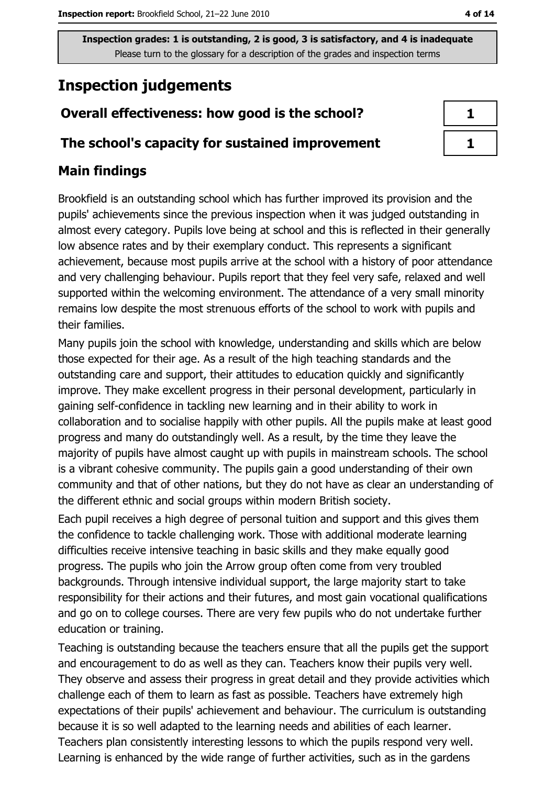## **Inspection judgements**

## Overall effectiveness: how good is the school?

#### The school's capacity for sustained improvement

## **Main findings**

Brookfield is an outstanding school which has further improved its provision and the pupils' achievements since the previous inspection when it was judged outstanding in almost every category. Pupils love being at school and this is reflected in their generally low absence rates and by their exemplary conduct. This represents a significant achievement, because most pupils arrive at the school with a history of poor attendance and very challenging behaviour. Pupils report that they feel very safe, relaxed and well supported within the welcoming environment. The attendance of a very small minority remains low despite the most strenuous efforts of the school to work with pupils and their families.

Many pupils join the school with knowledge, understanding and skills which are below those expected for their age. As a result of the high teaching standards and the outstanding care and support, their attitudes to education quickly and significantly improve. They make excellent progress in their personal development, particularly in gaining self-confidence in tackling new learning and in their ability to work in collaboration and to socialise happily with other pupils. All the pupils make at least good progress and many do outstandingly well. As a result, by the time they leave the majority of pupils have almost caught up with pupils in mainstream schools. The school is a vibrant cohesive community. The pupils gain a good understanding of their own community and that of other nations, but they do not have as clear an understanding of the different ethnic and social groups within modern British society.

Each pupil receives a high degree of personal tuition and support and this gives them the confidence to tackle challenging work. Those with additional moderate learning difficulties receive intensive teaching in basic skills and they make equally good progress. The pupils who join the Arrow group often come from very troubled backgrounds. Through intensive individual support, the large majority start to take responsibility for their actions and their futures, and most gain vocational qualifications and go on to college courses. There are very few pupils who do not undertake further education or training.

Teaching is outstanding because the teachers ensure that all the pupils get the support and encouragement to do as well as they can. Teachers know their pupils very well. They observe and assess their progress in great detail and they provide activities which challenge each of them to learn as fast as possible. Teachers have extremely high expectations of their pupils' achievement and behaviour. The curriculum is outstanding because it is so well adapted to the learning needs and abilities of each learner. Teachers plan consistently interesting lessons to which the pupils respond very well. Learning is enhanced by the wide range of further activities, such as in the gardens

| Ъ |  |
|---|--|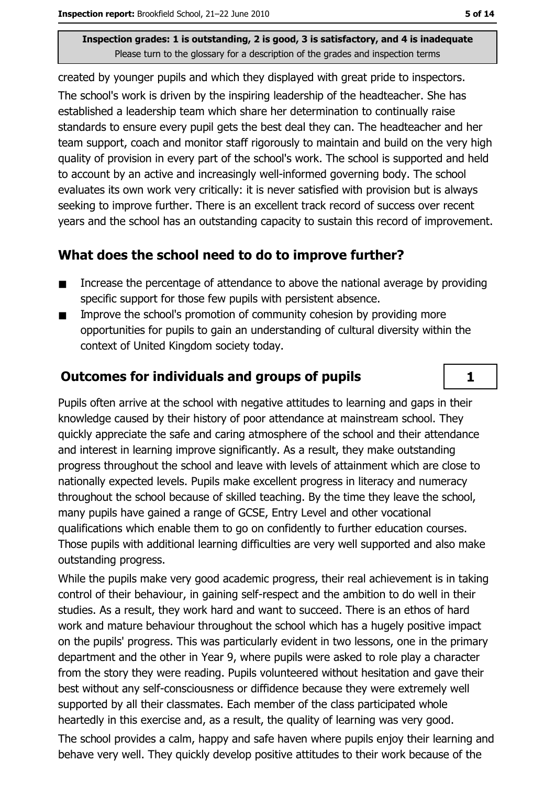created by younger pupils and which they displayed with great pride to inspectors. The school's work is driven by the inspiring leadership of the headteacher. She has established a leadership team which share her determination to continually raise standards to ensure every pupil gets the best deal they can. The headteacher and her team support, coach and monitor staff rigorously to maintain and build on the very high quality of provision in every part of the school's work. The school is supported and held to account by an active and increasingly well-informed governing body. The school evaluates its own work very critically: it is never satisfied with provision but is always seeking to improve further. There is an excellent track record of success over recent years and the school has an outstanding capacity to sustain this record of improvement.

### What does the school need to do to improve further?

- Increase the percentage of attendance to above the national average by providing  $\blacksquare$ specific support for those few pupils with persistent absence.
- Improve the school's promotion of community cohesion by providing more  $\blacksquare$ opportunities for pupils to gain an understanding of cultural diversity within the context of United Kingdom society today.

## **Outcomes for individuals and groups of pupils**

Pupils often arrive at the school with negative attitudes to learning and gaps in their knowledge caused by their history of poor attendance at mainstream school. They quickly appreciate the safe and caring atmosphere of the school and their attendance and interest in learning improve significantly. As a result, they make outstanding progress throughout the school and leave with levels of attainment which are close to nationally expected levels. Pupils make excellent progress in literacy and numeracy throughout the school because of skilled teaching. By the time they leave the school, many pupils have gained a range of GCSE, Entry Level and other vocational qualifications which enable them to go on confidently to further education courses. Those pupils with additional learning difficulties are very well supported and also make outstanding progress.

While the pupils make very good academic progress, their real achievement is in taking control of their behaviour, in gaining self-respect and the ambition to do well in their studies. As a result, they work hard and want to succeed. There is an ethos of hard work and mature behaviour throughout the school which has a hugely positive impact on the pupils' progress. This was particularly evident in two lessons, one in the primary department and the other in Year 9, where pupils were asked to role play a character from the story they were reading. Pupils volunteered without hesitation and gave their best without any self-consciousness or diffidence because they were extremely well supported by all their classmates. Each member of the class participated whole heartedly in this exercise and, as a result, the quality of learning was very good.

The school provides a calm, happy and safe haven where pupils enjoy their learning and behave very well. They quickly develop positive attitudes to their work because of the

 $\mathbf{1}$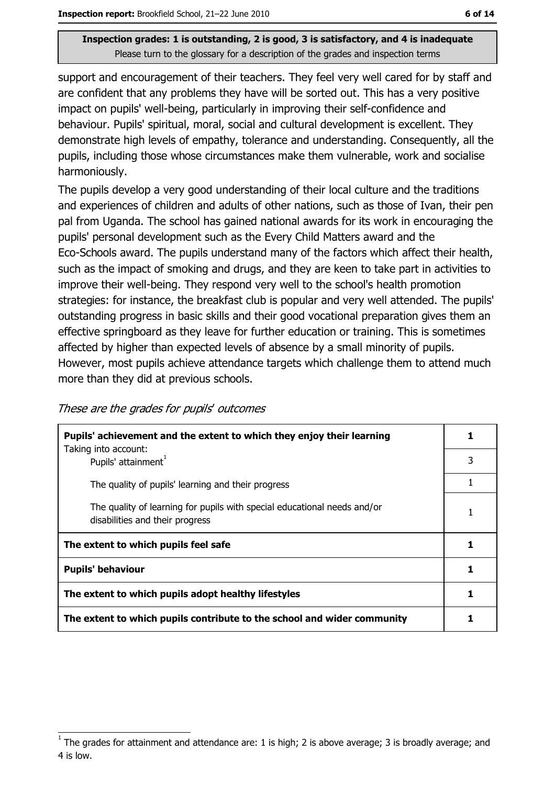support and encouragement of their teachers. They feel very well cared for by staff and are confident that any problems they have will be sorted out. This has a very positive impact on pupils' well-being, particularly in improving their self-confidence and behaviour. Pupils' spiritual, moral, social and cultural development is excellent. They demonstrate high levels of empathy, tolerance and understanding. Consequently, all the pupils, including those whose circumstances make them vulnerable, work and socialise harmoniously.

The pupils develop a very good understanding of their local culture and the traditions and experiences of children and adults of other nations, such as those of Ivan, their pen pal from Uganda. The school has gained national awards for its work in encouraging the pupils' personal development such as the Every Child Matters award and the Eco-Schools award. The pupils understand many of the factors which affect their health, such as the impact of smoking and drugs, and they are keen to take part in activities to improve their well-being. They respond very well to the school's health promotion strategies: for instance, the breakfast club is popular and very well attended. The pupils' outstanding progress in basic skills and their good vocational preparation gives them an effective springboard as they leave for further education or training. This is sometimes affected by higher than expected levels of absence by a small minority of pupils. However, most pupils achieve attendance targets which challenge them to attend much more than they did at previous schools.

| These are the grades for pupils' outcomes |  |  |
|-------------------------------------------|--|--|
|                                           |  |  |

| Pupils' achievement and the extent to which they enjoy their learning                                       |   |
|-------------------------------------------------------------------------------------------------------------|---|
| Taking into account:<br>Pupils' attainment <sup>1</sup>                                                     | 3 |
| The quality of pupils' learning and their progress                                                          |   |
| The quality of learning for pupils with special educational needs and/or<br>disabilities and their progress |   |
| The extent to which pupils feel safe                                                                        |   |
| <b>Pupils' behaviour</b>                                                                                    | 1 |
| The extent to which pupils adopt healthy lifestyles                                                         |   |
| The extent to which pupils contribute to the school and wider community                                     |   |

The grades for attainment and attendance are: 1 is high; 2 is above average; 3 is broadly average; and 4 is low.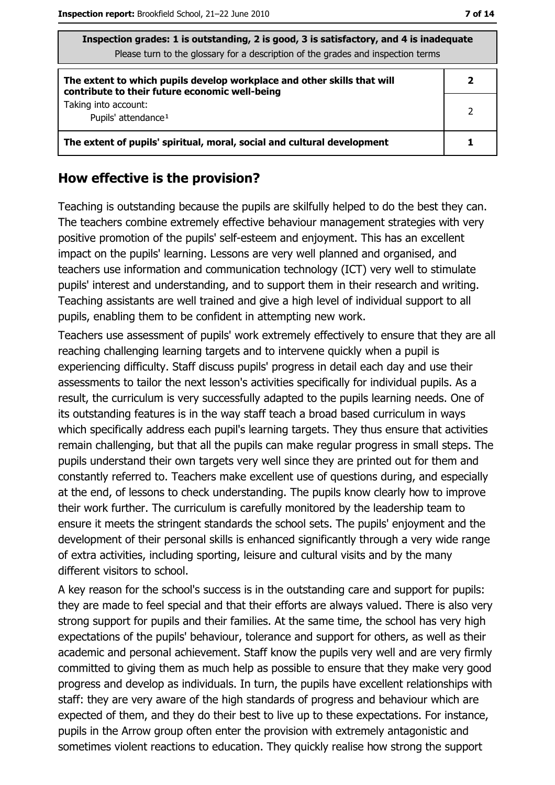| Thispection grades: 1 is outstanding, 2 is good, 3 is satisfactory, and 4 is inadequate<br>Please turn to the glossary for a description of the grades and inspection terms |   |  |  |
|-----------------------------------------------------------------------------------------------------------------------------------------------------------------------------|---|--|--|
| The extent to which pupils develop workplace and other skills that will<br>contribute to their future economic well-being                                                   | 2 |  |  |
| Taking into account:<br>Pupils' attendance <sup>1</sup>                                                                                                                     | 2 |  |  |
| The extent of pupils' spiritual, moral, social and cultural development                                                                                                     |   |  |  |

#### How effective is the provision?

Teaching is outstanding because the pupils are skilfully helped to do the best they can. The teachers combine extremely effective behaviour management strategies with very positive promotion of the pupils' self-esteem and enjoyment. This has an excellent impact on the pupils' learning. Lessons are very well planned and organised, and teachers use information and communication technology (ICT) very well to stimulate pupils' interest and understanding, and to support them in their research and writing. Teaching assistants are well trained and give a high level of individual support to all pupils, enabling them to be confident in attempting new work.

Teachers use assessment of pupils' work extremely effectively to ensure that they are all reaching challenging learning targets and to intervene quickly when a pupil is experiencing difficulty. Staff discuss pupils' progress in detail each day and use their assessments to tailor the next lesson's activities specifically for individual pupils. As a result, the curriculum is very successfully adapted to the pupils learning needs. One of its outstanding features is in the way staff teach a broad based curriculum in ways which specifically address each pupil's learning targets. They thus ensure that activities remain challenging, but that all the pupils can make regular progress in small steps. The pupils understand their own targets very well since they are printed out for them and constantly referred to. Teachers make excellent use of questions during, and especially at the end, of lessons to check understanding. The pupils know clearly how to improve their work further. The curriculum is carefully monitored by the leadership team to ensure it meets the stringent standards the school sets. The pupils' enjoyment and the development of their personal skills is enhanced significantly through a very wide range of extra activities, including sporting, leisure and cultural visits and by the many different visitors to school.

A key reason for the school's success is in the outstanding care and support for pupils: they are made to feel special and that their efforts are always valued. There is also very strong support for pupils and their families. At the same time, the school has very high expectations of the pupils' behaviour, tolerance and support for others, as well as their academic and personal achievement. Staff know the pupils very well and are very firmly committed to giving them as much help as possible to ensure that they make very good progress and develop as individuals. In turn, the pupils have excellent relationships with staff: they are very aware of the high standards of progress and behaviour which are expected of them, and they do their best to live up to these expectations. For instance, pupils in the Arrow group often enter the provision with extremely antagonistic and sometimes violent reactions to education. They quickly realise how strong the support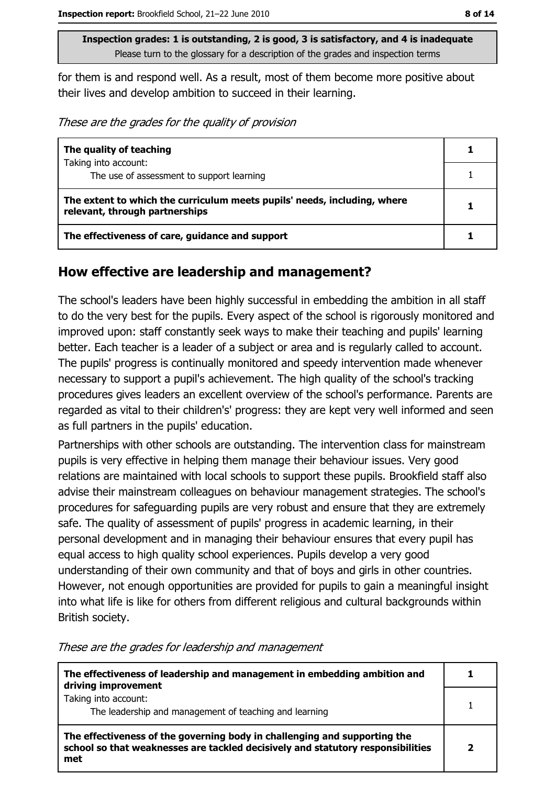for them is and respond well. As a result, most of them become more positive about their lives and develop ambition to succeed in their learning.

These are the grades for the quality of provision

| The quality of teaching                                                                                    |  |
|------------------------------------------------------------------------------------------------------------|--|
| Taking into account:                                                                                       |  |
| The use of assessment to support learning                                                                  |  |
| The extent to which the curriculum meets pupils' needs, including, where<br>relevant, through partnerships |  |
| The effectiveness of care, guidance and support                                                            |  |

#### How effective are leadership and management?

The school's leaders have been highly successful in embedding the ambition in all staff to do the very best for the pupils. Every aspect of the school is rigorously monitored and improved upon: staff constantly seek ways to make their teaching and pupils' learning better. Each teacher is a leader of a subject or area and is regularly called to account. The pupils' progress is continually monitored and speedy intervention made whenever necessary to support a pupil's achievement. The high quality of the school's tracking procedures gives leaders an excellent overview of the school's performance. Parents are regarded as vital to their children's' progress: they are kept very well informed and seen as full partners in the pupils' education.

Partnerships with other schools are outstanding. The intervention class for mainstream pupils is very effective in helping them manage their behaviour issues. Very good relations are maintained with local schools to support these pupils. Brookfield staff also advise their mainstream colleagues on behaviour management strategies. The school's procedures for safeguarding pupils are very robust and ensure that they are extremely safe. The quality of assessment of pupils' progress in academic learning, in their personal development and in managing their behaviour ensures that every pupil has equal access to high quality school experiences. Pupils develop a very good understanding of their own community and that of boys and girls in other countries. However, not enough opportunities are provided for pupils to gain a meaningful insight into what life is like for others from different religious and cultural backgrounds within British society.

| The effectiveness of leadership and management in embedding ambition and<br>driving improvement                                                                     |  |
|---------------------------------------------------------------------------------------------------------------------------------------------------------------------|--|
| Taking into account:<br>The leadership and management of teaching and learning                                                                                      |  |
| The effectiveness of the governing body in challenging and supporting the<br>school so that weaknesses are tackled decisively and statutory responsibilities<br>met |  |

These are the grades for leadership and management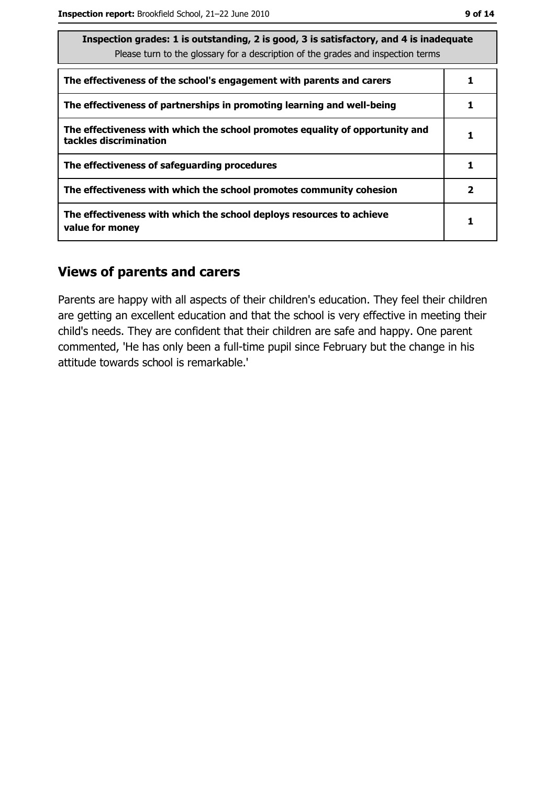| v | v<br>۰. |  |
|---|---------|--|
|   |         |  |

| Inspection grades: 1 is outstanding, 2 is good, 3 is satisfactory, and 4 is inadequate<br>Please turn to the glossary for a description of the grades and inspection terms |              |  |  |
|----------------------------------------------------------------------------------------------------------------------------------------------------------------------------|--------------|--|--|
| The effectiveness of the school's engagement with parents and carers                                                                                                       |              |  |  |
| The effectiveness of partnerships in promoting learning and well-being                                                                                                     |              |  |  |
| The effectiveness with which the school promotes equality of opportunity and<br>tackles discrimination                                                                     |              |  |  |
| The effectiveness of safeguarding procedures                                                                                                                               |              |  |  |
| The effectiveness with which the school promotes community cohesion                                                                                                        | $\mathbf{2}$ |  |  |
| The effectiveness with which the school deploys resources to achieve<br>value for money                                                                                    |              |  |  |

#### **Views of parents and carers**

Parents are happy with all aspects of their children's education. They feel their children are getting an excellent education and that the school is very effective in meeting their child's needs. They are confident that their children are safe and happy. One parent commented, 'He has only been a full-time pupil since February but the change in his attitude towards school is remarkable.'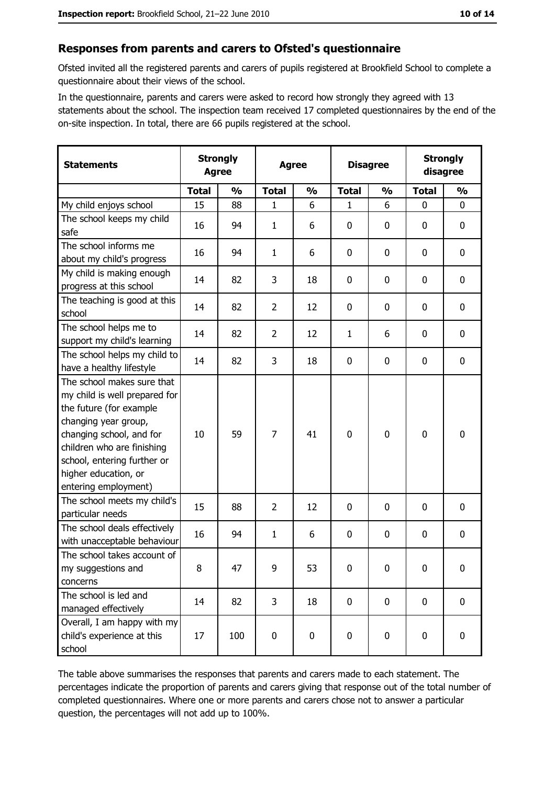#### Responses from parents and carers to Ofsted's questionnaire

Ofsted invited all the registered parents and carers of pupils registered at Brookfield School to complete a questionnaire about their views of the school.

In the questionnaire, parents and carers were asked to record how strongly they agreed with 13 statements about the school. The inspection team received 17 completed questionnaires by the end of the on-site inspection. In total, there are 66 pupils registered at the school.

| <b>Statements</b>                                                                                                                                                                                                                                       | <b>Strongly</b><br><b>Agree</b> |               | <b>Agree</b>   |               | <b>Disagree</b> |               | <b>Strongly</b><br>disagree |               |
|---------------------------------------------------------------------------------------------------------------------------------------------------------------------------------------------------------------------------------------------------------|---------------------------------|---------------|----------------|---------------|-----------------|---------------|-----------------------------|---------------|
|                                                                                                                                                                                                                                                         | <b>Total</b>                    | $\frac{0}{0}$ | <b>Total</b>   | $\frac{0}{0}$ | <b>Total</b>    | $\frac{1}{2}$ | <b>Total</b>                | $\frac{0}{0}$ |
| My child enjoys school                                                                                                                                                                                                                                  | 15                              | 88            | $\mathbf{1}$   | 6             | $\mathbf{1}$    | 6             | $\mathbf{0}$                | $\mathbf{0}$  |
| The school keeps my child<br>safe                                                                                                                                                                                                                       | 16                              | 94            | $\mathbf{1}$   | 6             | 0               | 0             | 0                           | $\mathbf 0$   |
| The school informs me<br>about my child's progress                                                                                                                                                                                                      | 16                              | 94            | $\mathbf{1}$   | 6             | 0               | 0             | 0                           | 0             |
| My child is making enough<br>progress at this school                                                                                                                                                                                                    | 14                              | 82            | 3              | 18            | $\mathbf 0$     | 0             | 0                           | $\mathbf 0$   |
| The teaching is good at this<br>school                                                                                                                                                                                                                  | 14                              | 82            | $\overline{2}$ | 12            | $\mathbf 0$     | 0             | 0                           | $\mathbf 0$   |
| The school helps me to<br>support my child's learning                                                                                                                                                                                                   | 14                              | 82            | $\overline{2}$ | 12            | $\mathbf{1}$    | 6             | 0                           | 0             |
| The school helps my child to<br>have a healthy lifestyle                                                                                                                                                                                                | 14                              | 82            | 3              | 18            | 0               | 0             | 0                           | $\mathbf 0$   |
| The school makes sure that<br>my child is well prepared for<br>the future (for example<br>changing year group,<br>changing school, and for<br>children who are finishing<br>school, entering further or<br>higher education, or<br>entering employment) | 10                              | 59            | $\overline{7}$ | 41            | $\mathbf 0$     | 0             | $\mathbf 0$                 | $\mathbf 0$   |
| The school meets my child's<br>particular needs                                                                                                                                                                                                         | 15                              | 88            | $\overline{2}$ | 12            | 0               | 0             | 0                           | $\mathbf 0$   |
| The school deals effectively<br>with unacceptable behaviour                                                                                                                                                                                             | 16                              | 94            | $\mathbf{1}$   | 6             | $\mathbf 0$     | 0             | 0                           | $\bf{0}$      |
| The school takes account of<br>my suggestions and<br>concerns                                                                                                                                                                                           | 8                               | 47            | 9              | 53            | $\mathbf 0$     | 0             | 0                           | $\bf{0}$      |
| The school is led and<br>managed effectively                                                                                                                                                                                                            | 14                              | 82            | 3              | 18            | $\mathbf 0$     | 0             | $\mathbf 0$                 | $\mathbf 0$   |
| Overall, I am happy with my<br>child's experience at this<br>school                                                                                                                                                                                     | 17                              | 100           | 0              | 0             | $\mathbf 0$     | 0             | $\mathbf 0$                 | 0             |

The table above summarises the responses that parents and carers made to each statement. The percentages indicate the proportion of parents and carers giving that response out of the total number of completed questionnaires. Where one or more parents and carers chose not to answer a particular question, the percentages will not add up to 100%.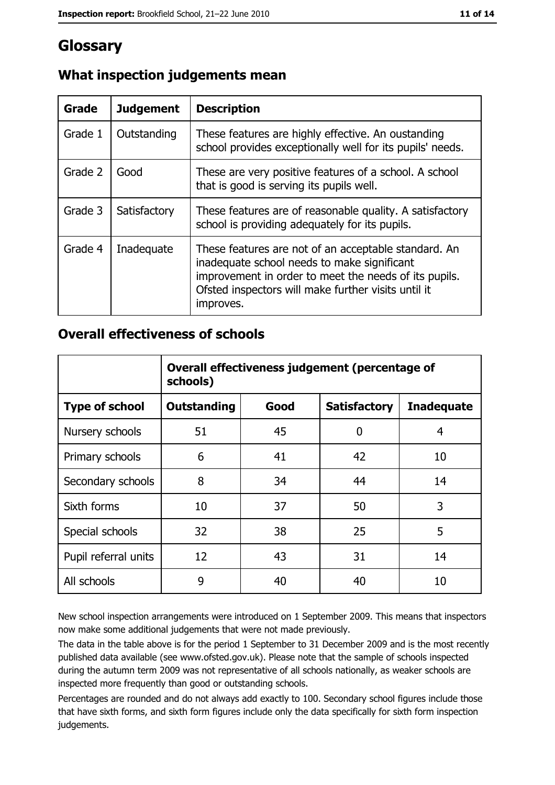# Glossary

| Grade   | <b>Judgement</b> | <b>Description</b>                                                                                                                                                                                                               |
|---------|------------------|----------------------------------------------------------------------------------------------------------------------------------------------------------------------------------------------------------------------------------|
| Grade 1 | Outstanding      | These features are highly effective. An oustanding<br>school provides exceptionally well for its pupils' needs.                                                                                                                  |
| Grade 2 | Good             | These are very positive features of a school. A school<br>that is good is serving its pupils well.                                                                                                                               |
| Grade 3 | Satisfactory     | These features are of reasonable quality. A satisfactory<br>school is providing adequately for its pupils.                                                                                                                       |
| Grade 4 | Inadequate       | These features are not of an acceptable standard. An<br>inadequate school needs to make significant<br>improvement in order to meet the needs of its pupils.<br>Ofsted inspectors will make further visits until it<br>improves. |

## What inspection judgements mean

#### **Overall effectiveness of schools**

|                       | Overall effectiveness judgement (percentage of<br>schools) |      |                     |                   |  |  |
|-----------------------|------------------------------------------------------------|------|---------------------|-------------------|--|--|
| <b>Type of school</b> | <b>Outstanding</b>                                         | Good | <b>Satisfactory</b> | <b>Inadequate</b> |  |  |
| Nursery schools       | 51                                                         | 45   | 0                   | 4                 |  |  |
| Primary schools       | 6                                                          | 41   | 42                  | 10                |  |  |
| Secondary schools     | 8                                                          | 34   | 44                  | 14                |  |  |
| Sixth forms           | 10                                                         | 37   | 50                  | 3                 |  |  |
| Special schools       | 32                                                         | 38   | 25                  | 5                 |  |  |
| Pupil referral units  | 12                                                         | 43   | 31                  | 14                |  |  |
| All schools           | 9                                                          | 40   | 40                  | 10                |  |  |

New school inspection arrangements were introduced on 1 September 2009. This means that inspectors now make some additional judgements that were not made previously.

The data in the table above is for the period 1 September to 31 December 2009 and is the most recently published data available (see www.ofsted.gov.uk). Please note that the sample of schools inspected during the autumn term 2009 was not representative of all schools nationally, as weaker schools are inspected more frequently than good or outstanding schools.

Percentages are rounded and do not always add exactly to 100. Secondary school figures include those that have sixth forms, and sixth form figures include only the data specifically for sixth form inspection judgements.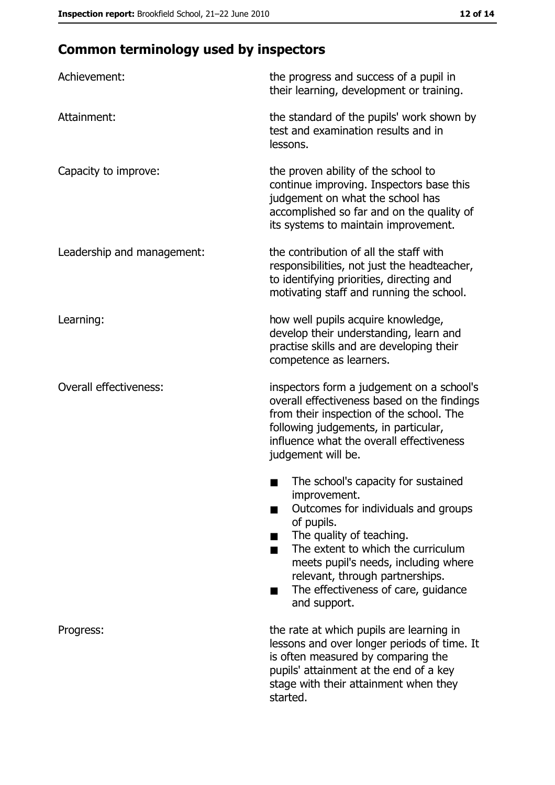# **Common terminology used by inspectors**

| Achievement:                  | the progress and success of a pupil in<br>their learning, development or training.                                                                                                                                                                                                                           |  |  |
|-------------------------------|--------------------------------------------------------------------------------------------------------------------------------------------------------------------------------------------------------------------------------------------------------------------------------------------------------------|--|--|
| Attainment:                   | the standard of the pupils' work shown by<br>test and examination results and in<br>lessons.                                                                                                                                                                                                                 |  |  |
| Capacity to improve:          | the proven ability of the school to<br>continue improving. Inspectors base this<br>judgement on what the school has<br>accomplished so far and on the quality of<br>its systems to maintain improvement.                                                                                                     |  |  |
| Leadership and management:    | the contribution of all the staff with<br>responsibilities, not just the headteacher,<br>to identifying priorities, directing and<br>motivating staff and running the school.                                                                                                                                |  |  |
| Learning:                     | how well pupils acquire knowledge,<br>develop their understanding, learn and<br>practise skills and are developing their<br>competence as learners.                                                                                                                                                          |  |  |
| <b>Overall effectiveness:</b> | inspectors form a judgement on a school's<br>overall effectiveness based on the findings<br>from their inspection of the school. The<br>following judgements, in particular,<br>influence what the overall effectiveness<br>judgement will be.                                                               |  |  |
|                               | The school's capacity for sustained<br>improvement.<br>Outcomes for individuals and groups<br>of pupils.<br>The quality of teaching.<br>The extent to which the curriculum<br>meets pupil's needs, including where<br>relevant, through partnerships.<br>The effectiveness of care, guidance<br>and support. |  |  |
| Progress:                     | the rate at which pupils are learning in<br>lessons and over longer periods of time. It<br>is often measured by comparing the<br>pupils' attainment at the end of a key<br>stage with their attainment when they<br>started.                                                                                 |  |  |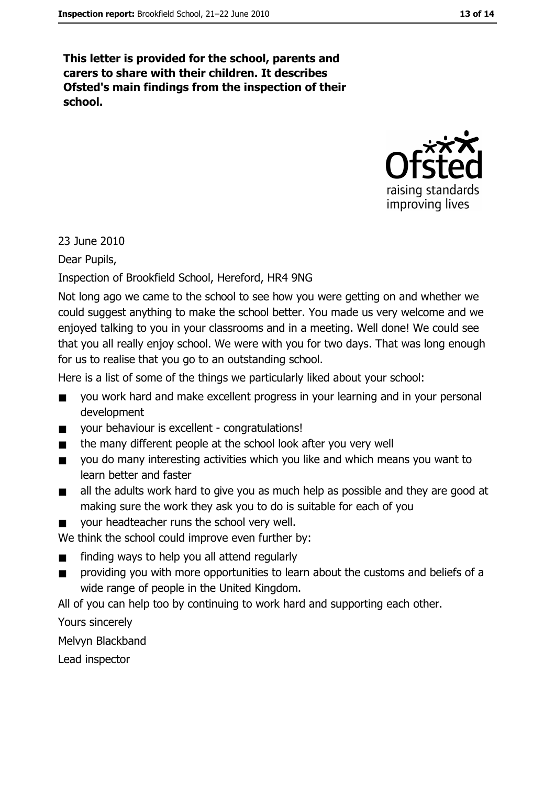This letter is provided for the school, parents and carers to share with their children. It describes Ofsted's main findings from the inspection of their school.



23 June 2010

Dear Pupils,

Inspection of Brookfield School, Hereford, HR4 9NG

Not long ago we came to the school to see how you were getting on and whether we could suggest anything to make the school better. You made us very welcome and we enjoyed talking to you in your classrooms and in a meeting. Well done! We could see that you all really enjoy school. We were with you for two days. That was long enough for us to realise that you go to an outstanding school.

Here is a list of some of the things we particularly liked about your school:

- you work hard and make excellent progress in your learning and in your personal  $\blacksquare$ development
- your behaviour is excellent congratulations!  $\blacksquare$
- the many different people at the school look after you very well  $\blacksquare$
- you do many interesting activities which you like and which means you want to  $\blacksquare$ learn better and faster
- all the adults work hard to give you as much help as possible and they are good at  $\blacksquare$ making sure the work they ask you to do is suitable for each of you
- your headteacher runs the school very well.

We think the school could improve even further by:

- finding ways to help you all attend regularly
- providing you with more opportunities to learn about the customs and beliefs of a  $\blacksquare$ wide range of people in the United Kingdom.

All of you can help too by continuing to work hard and supporting each other.

Yours sincerely

Melvvn Blackband

Lead inspector